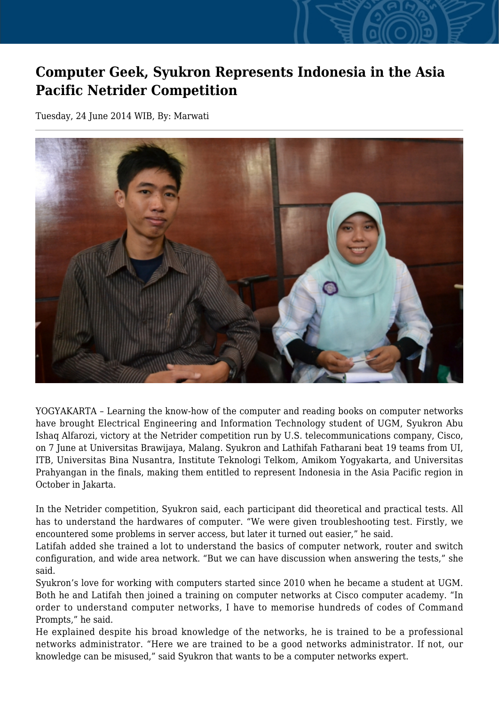## **Computer Geek, Syukron Represents Indonesia in the Asia Pacific Netrider Competition**

Tuesday, 24 June 2014 WIB, By: Marwati



YOGYAKARTA – Learning the know-how of the computer and reading books on computer networks have brought Electrical Engineering and Information Technology student of UGM, Syukron Abu Ishaq Alfarozi, victory at the Netrider competition run by U.S. telecommunications company, Cisco, on 7 June at Universitas Brawijaya, Malang. Syukron and Lathifah Fatharani beat 19 teams from UI, ITB, Universitas Bina Nusantra, Institute Teknologi Telkom, Amikom Yogyakarta, and Universitas Prahyangan in the finals, making them entitled to represent Indonesia in the Asia Pacific region in October in Jakarta.

In the Netrider competition, Syukron said, each participant did theoretical and practical tests. All has to understand the hardwares of computer. "We were given troubleshooting test. Firstly, we encountered some problems in server access, but later it turned out easier," he said.

Latifah added she trained a lot to understand the basics of computer network, router and switch configuration, and wide area network. "But we can have discussion when answering the tests," she said.

Syukron's love for working with computers started since 2010 when he became a student at UGM. Both he and Latifah then joined a training on computer networks at Cisco computer academy. "In order to understand computer networks, I have to memorise hundreds of codes of Command Prompts," he said.

He explained despite his broad knowledge of the networks, he is trained to be a professional networks administrator. "Here we are trained to be a good networks administrator. If not, our knowledge can be misused," said Syukron that wants to be a computer networks expert.